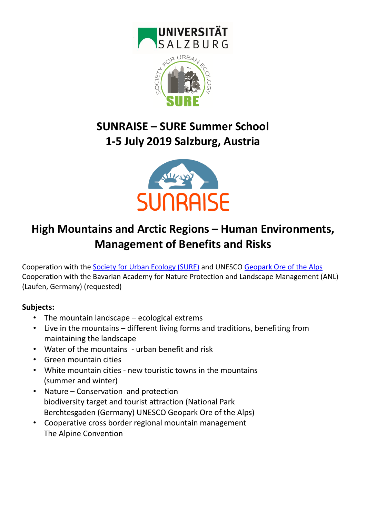



# **SUNRAISE – SURE Summer School 1-5 July 2019 Salzburg, Austria**



# **High Mountains and Arctic Regions – Human Environments, Management of Benefits and Risks**

Cooperation with the [Society for Urban Ecology \(SURE\)](http://www.society-urban-ecology.org/) and UNESCO [Geopark Ore of the Alps](file:///C:/Users/Petra/Downloads/geopark-erzderalpen.at) Cooperation with the Bavarian Academy for Nature Protection and Landscape Management (ANL) (Laufen, Germany) (requested)

#### **Subjects:**

- The mountain landscape ecological extrems
- Live in the mountains different living forms and traditions, benefiting from maintaining the landscape
- Water of the mountains urban benefit and risk
- Green mountain cities
- White mountain cities new touristic towns in the mountains (summer and winter)
- Nature Conservation and protection biodiversity target and tourist attraction (National Park Berchtesgaden (Germany) UNESCO Geopark Ore of the Alps)
- Cooperative cross border regional mountain management The Alpine Convention